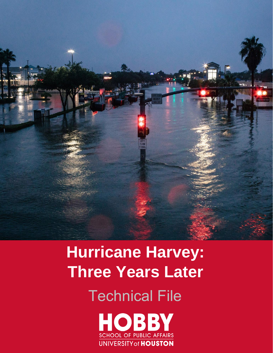

# **Hurricane Harvey: Three Years Later**  Technical File

**HOBBY SCHOOL OF PUBLIC AFFAIRS UNIVERSITY of HOUSTON**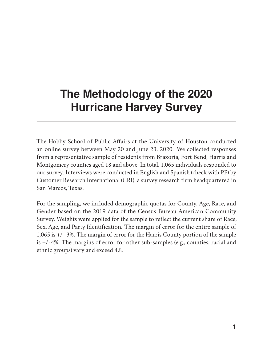## **The Methodology of the 2020 Hurricane Harvey Survey**

The Hobby School of Public Affairs at the University of Houston conducted an online survey between May 20 and June 23, 2020. We collected responses from a representative sample of residents from Brazoria, Fort Bend, Harris and Montgomery counties aged 18 and above. In total, 1,065 individuals responded to our survey. Interviews were conducted in English and Spanish (check with PP) by Customer Research International (CRI), a survey research firm headquartered in San Marcos, Texas.

For the sampling, we included demographic quotas for County, Age, Race, and Gender based on the 2019 data of the Census Bureau American Community Survey. Weights were applied for the sample to reflect the current share of Race, Sex, Age, and Party Identification. The margin of error for the entire sample of 1,065 is +/- 3%. The margin of error for the Harris County portion of the sample is +/-4%. The margins of error for other sub-samples (e.g., counties, racial and ethnic groups) vary and exceed 4%.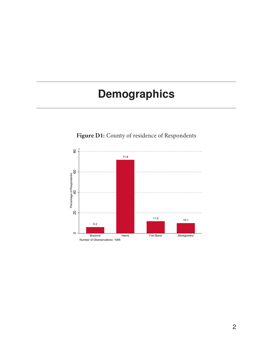## **Demographics**



**Figure D1:** County of residence of Respondents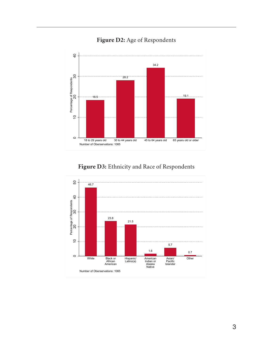**Figure D2:** Age of Respondents



#### **Figure D3:** Ethnicity and Race of Respondents

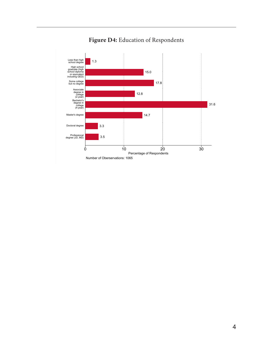

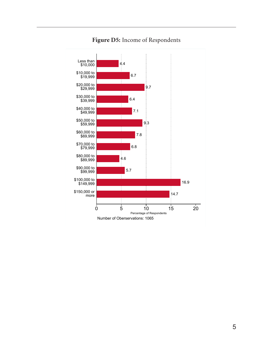

#### **Figure D5:** Income of Respondents